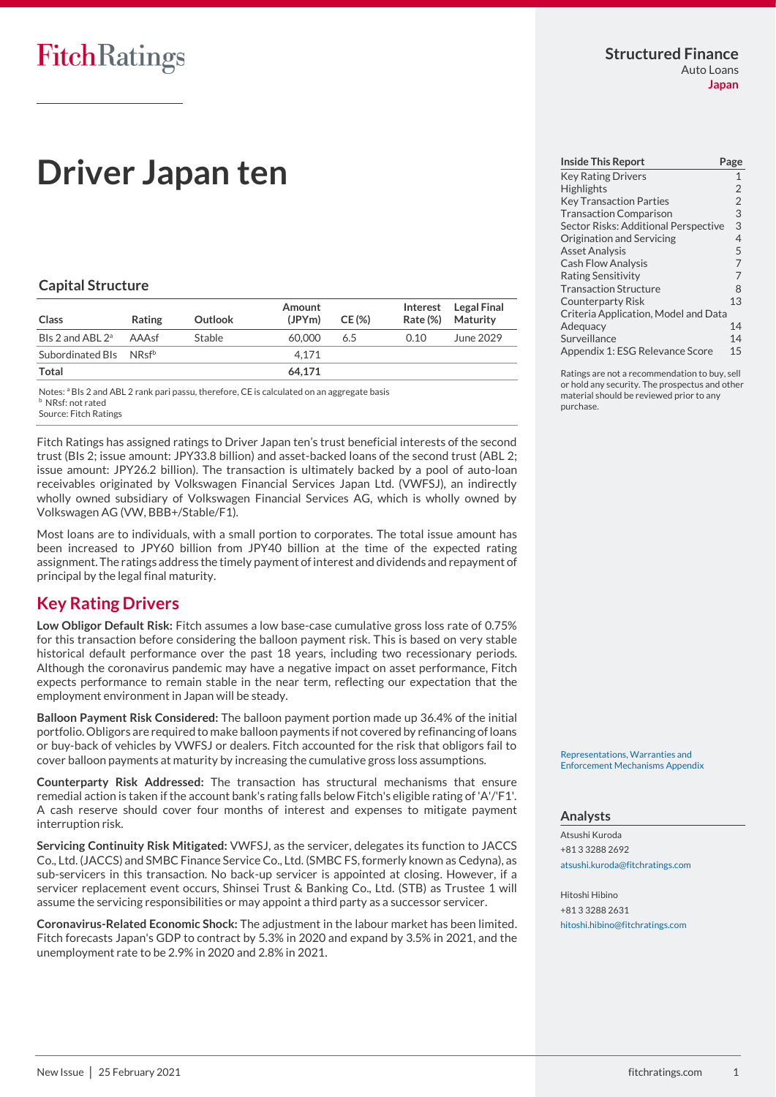# **Driver Japan ten**

### **Capital Structure**

| Class                              | <b>Rating</b> | Outlook | Amount<br>(JPYm) | $CE(\%)$ |      | Interest Legal Final<br>Rate (%) Maturity |
|------------------------------------|---------------|---------|------------------|----------|------|-------------------------------------------|
| Bls 2 and ABL $2^a$ AAAsf          |               | Stable  | 60,000           | 6.5      | 0.10 | June 2029                                 |
| Subordinated BIs NRsf <sup>b</sup> |               |         | 4.171            |          |      |                                           |
| Total                              |               |         | 64.171           |          |      |                                           |

Notes: <sup>a</sup> BIs 2 and ABL 2 rank pari passu, therefore, CE is calculated on an aggregate basis NRsf: not rated

Source: Fitch Ratings

Fitch Ratings has assigned ratings to Driver Japan ten's trust beneficial interests of the second trust (BIs 2; issue amount: JPY33.8 billion) and asset-backed loans of the second trust (ABL 2; issue amount: JPY26.2 billion). The transaction is ultimately backed by a pool of auto-loan receivables originated by Volkswagen Financial Services Japan Ltd. (VWFSJ), an indirectly wholly owned subsidiary of Volkswagen Financial Services AG, which is wholly owned by Volkswagen AG (VW, BBB+/Stable/F1).

Most loans are to individuals, with a small portion to corporates. The total issue amount has been increased to JPY60 billion from JPY40 billion at the time of the expected rating assignment. The ratings address the timely payment of interest and dividends and repayment of principal by the legal final maturity.

## <span id="page-0-0"></span>**Key Rating Drivers**

**Low Obligor Default Risk:** Fitch assumes a low base-case cumulative gross loss rate of 0.75% for this transaction before considering the balloon payment risk. This is based on very stable historical default performance over the past 18 years, including two recessionary periods. Although the coronavirus pandemic may have a negative impact on asset performance, Fitch expects performance to remain stable in the near term, reflecting our expectation that the employment environment in Japan will be steady.

**Balloon Payment Risk Considered:** The balloon payment portion made up 36.4% of the initial portfolio. Obligors are required to make balloon payments if not covered by refinancing of loans or buy-back of vehicles by VWFSJ or dealers. Fitch accounted for the risk that obligors fail to cover balloon payments at maturity by increasing the cumulative gross loss assumptions.

**Counterparty Risk Addressed:** The transaction has structural mechanisms that ensure remedial action is taken if the account bank's rating falls below Fitch's eligible rating of 'A'/'F1'. A cash reserve should cover four months of interest and expenses to mitigate payment interruption risk.

**Servicing Continuity Risk Mitigated:** VWFSJ, as the servicer, delegates its function to JACCS Co., Ltd. (JACCS) and SMBC Finance Service Co., Ltd. (SMBC FS, formerly known as Cedyna), as sub-servicers in this transaction. No back-up servicer is appointed at closing. However, if a servicer replacement event occurs, Shinsei Trust & Banking Co., Ltd. (STB) as Trustee 1 will assume the servicing responsibilities or may appoint a third party as a successor servicer.

**Coronavirus-Related Economic Shock:** The adjustment in the labour market has been limited. Fitch forecasts Japan's GDP to contract by 5.3% in 2020 and expand by 3.5% in 2021, and the unemployment rate to be 2.9% in 2020 and 2.8% in 2021.

### **Structured Finance** Auto Loans **Japan**

**Inside This Report Page** [Key Rating Drivers](#page-0-0) 1 [Highlights](#page-1-0) 2 [Key Transaction Parties](#page-1-1) 2 [Transaction Comparison](#page-2-0) 3 [Sector Risks: Additional Perspective](#page-2-1) 3 [Origination and Servicing](#page-3-0)<br>Asset Analysis 5 **[Asset Analysis](#page-4-0)** [Cash Flow Analysis](#page-6-0) 7 [Rating Sensitivity](#page-6-1) 7 [Transaction Structure](#page-7-0) 8 [Counterparty](#page-12-0) Risk 13 [Criteria Application, Model and Data](#page-13-0)  [Adequacy](#page-13-0) 14 [Surveillance](#page-13-1) 14 [Appendix 1: ESG Relevance Score](#page-14-0) 15

Ratings are not a recommendation to buy, sell or hold any security. The prospectus and other material should be reviewed prior to any purchase.

[Representations, Warranties and](https://app.fitchconnect.com/search/research/article/RPT_10153369)  [Enforcement Mechanisms Appendix](https://app.fitchconnect.com/search/research/article/RPT_10153369) 

### **Analysts**

Atsushi Kuroda +81 3 3288 2692 [atsushi.kuroda@fitchratings.com](mailto:atsushi.kuroda@fitchratings.com)

Hitoshi Hibino +81 3 3288 2631 [hitoshi.hibino@fitchratings.com](mailto:hitoshi.hibino@fitchratings.com)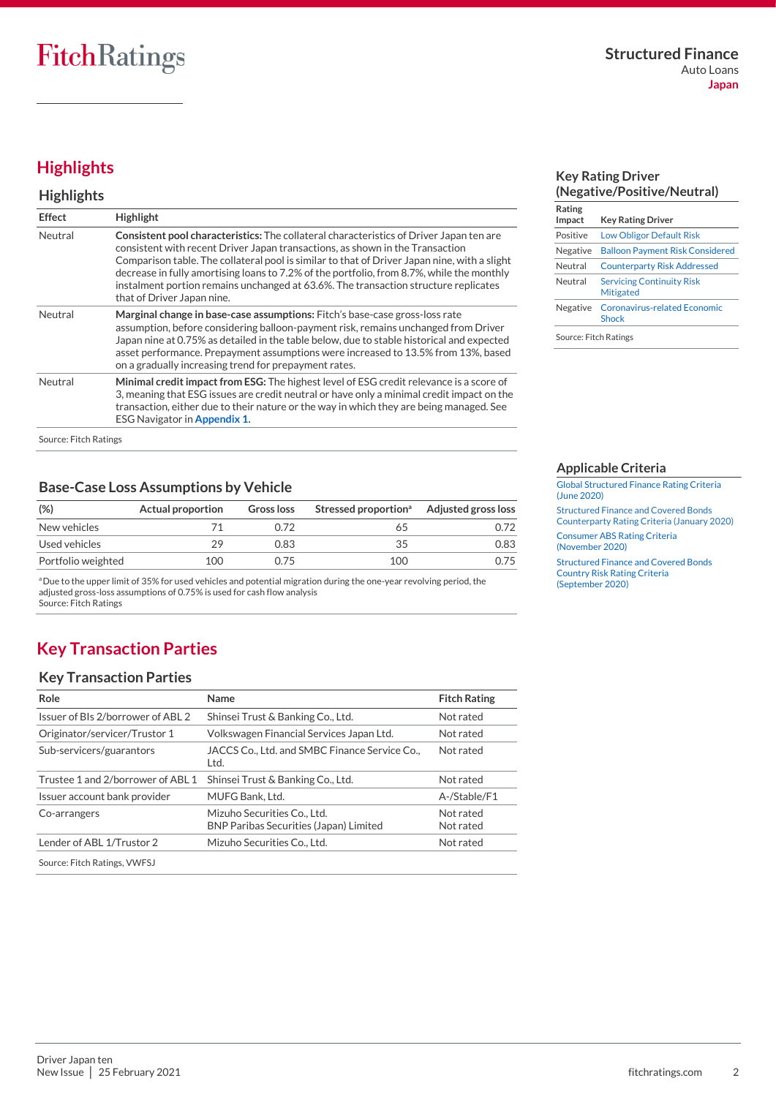## <span id="page-1-0"></span>**Highlights**

### **Highlights**

| <b>Effect</b> | <b>Highlight</b>                                                                                                                                                                                                                                                                                                                                                                                                                                                                           |
|---------------|--------------------------------------------------------------------------------------------------------------------------------------------------------------------------------------------------------------------------------------------------------------------------------------------------------------------------------------------------------------------------------------------------------------------------------------------------------------------------------------------|
| Neutral       | Consistent pool characteristics: The collateral characteristics of Driver Japan ten are<br>consistent with recent Driver Japan transactions, as shown in the Transaction<br>Comparison table. The collateral pool is similar to that of Driver Japan nine, with a slight<br>decrease in fully amortising loans to 7.2% of the portfolio, from 8.7%, while the monthly<br>instalment portion remains unchanged at 63.6%. The transaction structure replicates<br>that of Driver Japan nine. |
| Neutral       | Marginal change in base-case assumptions: Fitch's base-case gross-loss rate<br>assumption, before considering balloon-payment risk, remains unchanged from Driver<br>Japan nine at 0.75% as detailed in the table below, due to stable historical and expected<br>asset performance. Prepayment assumptions were increased to 13.5% from 13%, based<br>on a gradually increasing trend for prepayment rates.                                                                               |
| Neutral       | Minimal credit impact from ESG: The highest level of ESG credit relevance is a score of<br>3, meaning that ESG issues are credit neutral or have only a minimal credit impact on the<br>transaction, either due to their nature or the way in which they are being managed. See<br><b>ESG Navigator in Appendix 1.</b>                                                                                                                                                                     |

Source: Fitch Ratings

### **Base-Case Loss Assumptions by Vehicle**

| $(\%)$             | Actual proportion | Gross loss | Stressed proportion <sup>a</sup> Adjusted gross loss |      |
|--------------------|-------------------|------------|------------------------------------------------------|------|
| New vehicles       |                   | O 72       |                                                      | 1.72 |
| Used vehicles      | 29                | 0.83       |                                                      | 0.83 |
| Portfolio weighted | 100               | N 75       | 100                                                  | ).75 |

<sup>a</sup>Due to the upper limit of 35% for used vehicles and potential migration during the one-year revolving period, the adjusted gross-loss assumptions of 0.75% is used for cash flow analysis Source: Fitch Ratings

## <span id="page-1-1"></span>**Key Transaction Parties**

### **Key Transaction Parties**

| Role                              | Name                                                                  | <b>Fitch Rating</b>    |
|-----------------------------------|-----------------------------------------------------------------------|------------------------|
| Issuer of BIs 2/borrower of ABL 2 | Shinsei Trust & Banking Co., Ltd.                                     | Not rated              |
| Originator/servicer/Trustor 1     | Volkswagen Financial Services Japan Ltd.                              | Not rated              |
| Sub-servicers/guarantors          | JACCS Co., Ltd. and SMBC Finance Service Co.,<br>Ltd.                 | Not rated              |
| Trustee 1 and 2/borrower of ABL 1 | Shinsei Trust & Banking Co., Ltd.                                     | Not rated              |
| Issuer account bank provider      | MUFG Bank, Ltd.                                                       | A-/Stable/F1           |
| Co-arrangers                      | Mizuho Securities Co., Ltd.<br>BNP Paribas Securities (Japan) Limited | Not rated<br>Not rated |
| Lender of ABL 1/Trustor 2         | Mizuho Securities Co., Ltd.                                           | Not rated              |
| Source: Fitch Ratings, VWFSJ      |                                                                       |                        |

### <span id="page-1-3"></span>**Key Rating Driver (Negative/Positive/Neutral)**

| Rating                                                   |                                                      |  |
|----------------------------------------------------------|------------------------------------------------------|--|
| Impact                                                   | <b>Key Rating Driver</b>                             |  |
| Positive                                                 | <b>Low Obligor Default Risk</b>                      |  |
| Negative                                                 | <b>Balloon Payment Risk Considered</b>               |  |
| Neutral                                                  | <b>Counterparty Risk Addressed</b>                   |  |
| Neutral                                                  | <b>Servicing Continuity Risk</b><br><b>Mitigated</b> |  |
| <b>Coronavirus-related Economic</b><br>Negative<br>Shock |                                                      |  |
| Source: Fitch Ratings                                    |                                                      |  |

<span id="page-1-2"></span>**Applicable Criteria**

[Global Structured Finance Rating Criteria](https://app.fitchconnect.com/search/research/article/RPT_10126475)  [\(June 2020\)](https://app.fitchconnect.com/search/research/article/RPT_10126475)

[Structured Finance and Covered Bonds](https://app.fitchconnect.com/search/research/article/RPT_10108544)  [Counterparty Rating Criteria \(January 2020\)](https://app.fitchconnect.com/search/research/article/RPT_10108544)

[Consumer ABS Rating Criteria](https://app.fitchconnect.com/search/research/article/RPT_10142225)  [\(November 2020\)](https://app.fitchconnect.com/search/research/article/RPT_10142225)

[Structured Finance and Covered Bonds](https://app.fitchconnect.com/search/research/article/RPT_10133529)  [Country Risk Rating Criteria](https://app.fitchconnect.com/search/research/article/RPT_10133529)  [\(September](https://app.fitchconnect.com/search/research/article/RPT_10133529) 2020)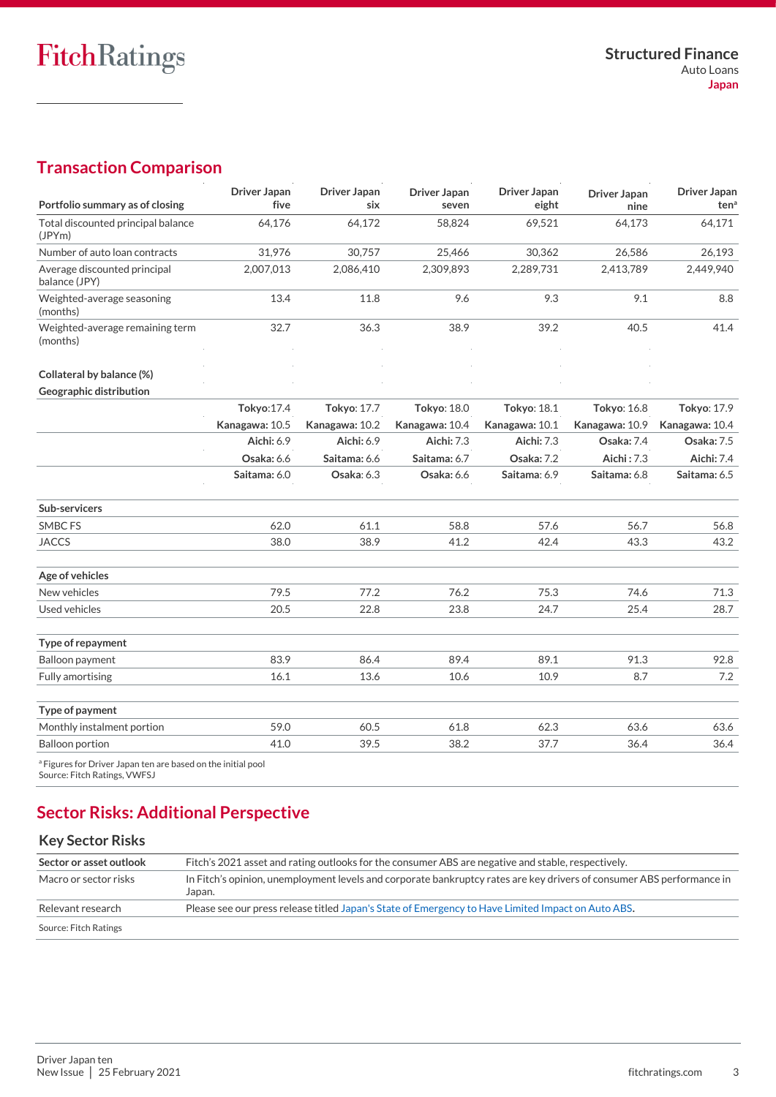## <span id="page-2-0"></span>**Transaction Comparison**

| Portfolio summary as of closing                                                                         | Driver Japan<br>five | <b>Driver Japan</b><br>six | Driver Japan<br>seven | Driver Japan<br>eight | <b>Driver Japan</b><br>nine | <b>Driver Japan</b><br>ten <sup>a</sup> |
|---------------------------------------------------------------------------------------------------------|----------------------|----------------------------|-----------------------|-----------------------|-----------------------------|-----------------------------------------|
| Total discounted principal balance<br>(JPYm)                                                            | 64,176               | 64.172                     | 58.824                | 69,521                | 64.173                      | 64,171                                  |
| Number of auto loan contracts                                                                           | 31,976               | 30,757                     | 25,466                | 30,362                | 26,586                      | 26,193                                  |
| Average discounted principal<br>balance (JPY)                                                           | 2,007,013            | 2,086,410                  | 2,309,893             | 2,289,731             | 2,413,789                   | 2,449,940                               |
| Weighted-average seasoning<br>(months)                                                                  | 13.4                 | 11.8                       | 9.6                   | 9.3                   | 9.1                         | 8.8                                     |
| Weighted-average remaining term<br>(months)                                                             | 32.7                 | 36.3                       | 38.9                  | 39.2                  | 40.5                        | 41.4                                    |
| Collateral by balance (%)                                                                               |                      |                            |                       |                       |                             |                                         |
| Geographic distribution                                                                                 |                      |                            |                       |                       |                             |                                         |
|                                                                                                         | Tokyo: 17.4          | Tokyo: 17.7                | Tokyo: 18.0           | Tokyo: 18.1           | Tokyo: 16.8                 | Tokyo: 17.9                             |
|                                                                                                         | Kanagawa: 10.5       | Kanagawa: 10.2             | Kanagawa: 10.4        | Kanagawa: 10.1        | Kanagawa: 10.9              | Kanagawa: 10.4                          |
|                                                                                                         | Aichi: 6.9           | Aichi: 6.9                 | Aichi: 7.3            | Aichi: 7.3            | Osaka: 7.4                  | Osaka: 7.5                              |
|                                                                                                         | <b>Osaka: 6.6</b>    | Saitama: 6.6               | Saitama: 6.7          | Osaka: 7.2            | Aichi: $7.3$                | Aichi: 7.4                              |
|                                                                                                         | Saitama: 6.0         | <b>Osaka: 6.3</b>          | Osaka: 6.6            | Saitama: 6.9          | Saitama: 6.8                | <b>Saitama:</b> 6.5                     |
| Sub-servicers                                                                                           |                      |                            |                       |                       |                             |                                         |
| SMBC FS                                                                                                 | 62.0                 | 61.1                       | 58.8                  | 57.6                  | 56.7                        | 56.8                                    |
| <b>JACCS</b>                                                                                            | 38.0                 | 38.9                       | 41.2                  | 42.4                  | 43.3                        | 43.2                                    |
| Age of vehicles                                                                                         |                      |                            |                       |                       |                             |                                         |
| New vehicles                                                                                            | 79.5                 | 77.2                       | 76.2                  | 75.3                  | 74.6                        | 71.3                                    |
| Used vehicles                                                                                           | 20.5                 | 22.8                       | 23.8                  | 24.7                  | 25.4                        | 28.7                                    |
| Type of repayment                                                                                       |                      |                            |                       |                       |                             |                                         |
| Balloon payment                                                                                         | 83.9                 | 86.4                       | 89.4                  | 89.1                  | 91.3                        | 92.8                                    |
| <b>Fully amortising</b>                                                                                 | 16.1                 | 13.6                       | 10.6                  | 10.9                  | 8.7                         | 7.2                                     |
| Type of payment                                                                                         |                      |                            |                       |                       |                             |                                         |
| Monthly instalment portion                                                                              | 59.0                 | 60.5                       | 61.8                  | 62.3                  | 63.6                        | 63.6                                    |
| <b>Balloon portion</b>                                                                                  | 41.0                 | 39.5                       | 38.2                  | 37.7                  | 36.4                        | 36.4                                    |
| <sup>a</sup> Figures for Driver Japan ten are based on the initial pool<br>Source: Fitch Ratings, VWFSJ |                      |                            |                       |                       |                             |                                         |

## <span id="page-2-1"></span>**Sector Risks: Additional Perspective**

### **Key Sector Risks**

| Sector or asset outlook | Fitch's 2021 asset and rating outlooks for the consumer ABS are negative and stable, respectively.                              |
|-------------------------|---------------------------------------------------------------------------------------------------------------------------------|
| Macro or sector risks   | In Fitch's opinion, unemployment levels and corporate bankruptcy rates are key drivers of consumer ABS performance in<br>Japan. |
| Relevant research       | Please see our press release titled Japan's State of Emergency to Have Limited Impact on Auto ABS.                              |
| Source: Fitch Ratings   |                                                                                                                                 |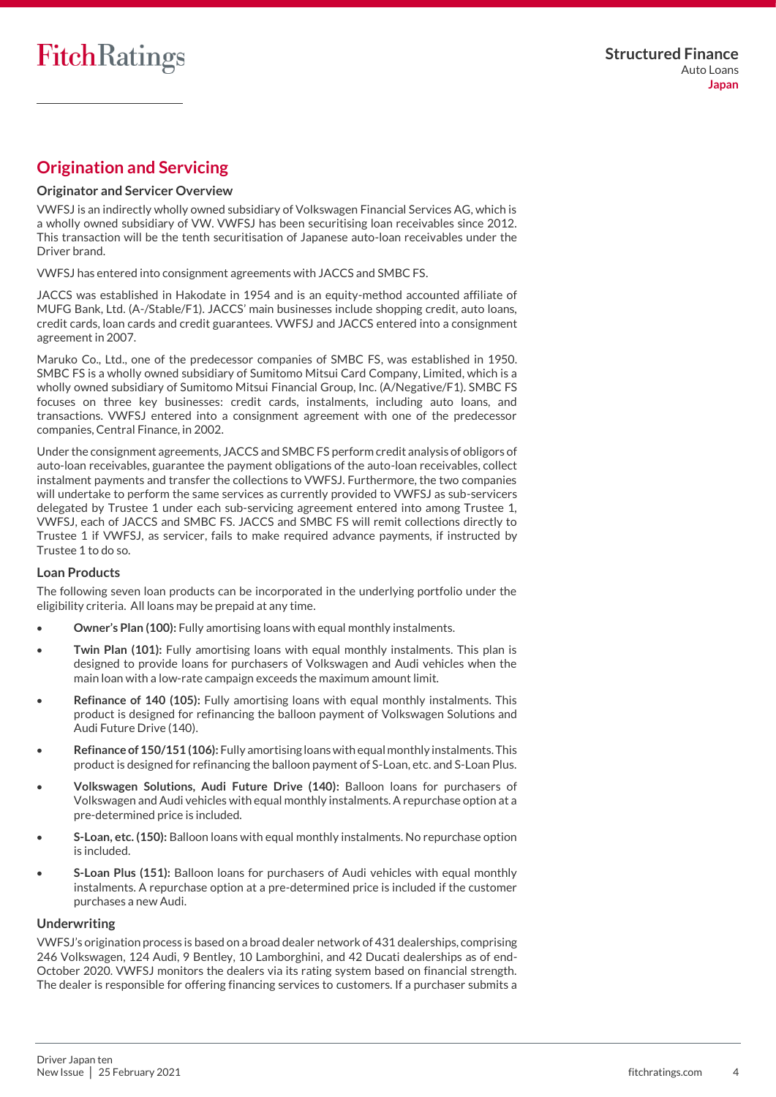## <span id="page-3-0"></span>**Origination and Servicing**

### **Originator and Servicer Overview**

VWFSJ is an indirectly wholly owned subsidiary of Volkswagen Financial Services AG, which is a wholly owned subsidiary of VW. VWFSJ has been securitising loan receivables since 2012. This transaction will be the tenth securitisation of Japanese auto-loan receivables under the Driver brand.

VWFSJ has entered into consignment agreements with JACCS and SMBC FS.

JACCS was established in Hakodate in 1954 and is an equity-method accounted affiliate of MUFG Bank, Ltd. (A-/Stable/F1). JACCS' main businesses include shopping credit, auto loans, credit cards, loan cards and credit guarantees. VWFSJ and JACCS entered into a consignment agreement in 2007.

Maruko Co., Ltd., one of the predecessor companies of SMBC FS, was established in 1950. SMBC FS is a wholly owned subsidiary of Sumitomo Mitsui Card Company, Limited, which is a wholly owned subsidiary of Sumitomo Mitsui Financial Group, Inc. (A/Negative/F1). SMBC FS focuses on three key businesses: credit cards, instalments, including auto loans, and transactions. VWFSJ entered into a consignment agreement with one of the predecessor companies, Central Finance, in 2002.

Under the consignment agreements, JACCS and SMBC FS perform credit analysis of obligors of auto-loan receivables, guarantee the payment obligations of the auto-loan receivables, collect instalment payments and transfer the collections to VWFSJ. Furthermore, the two companies will undertake to perform the same services as currently provided to VWFSJ as sub-servicers delegated by Trustee 1 under each sub-servicing agreement entered into among Trustee 1, VWFSJ, each of JACCS and SMBC FS. JACCS and SMBC FS will remit collections directly to Trustee 1 if VWFSJ, as servicer, fails to make required advance payments, if instructed by Trustee 1 to do so.

### **Loan Products**

The following seven loan products can be incorporated in the underlying portfolio under the eligibility criteria. All loans may be prepaid at any time.

- **Owner's Plan (100):** Fully amortising loans with equal monthly instalments.
- **Twin Plan (101):** Fully amortising loans with equal monthly instalments. This plan is designed to provide loans for purchasers of Volkswagen and Audi vehicles when the main loan with a low-rate campaign exceeds the maximum amount limit.
- **Refinance of 140 (105):** Fully amortising loans with equal monthly instalments. This product is designed for refinancing the balloon payment of Volkswagen Solutions and Audi Future Drive (140).
- **Refinance of 150/151 (106):** Fully amortising loans with equal monthly instalments. This product is designed for refinancing the balloon payment of S-Loan, etc. and S-Loan Plus.
- **Volkswagen Solutions, Audi Future Drive (140):** Balloon loans for purchasers of Volkswagen and Audi vehicles with equal monthly instalments. A repurchase option at a pre-determined price is included.
- **S-Loan, etc. (150):** Balloon loans with equal monthly instalments. No repurchase option is included.
- **S-Loan Plus (151):** Balloon loans for purchasers of Audi vehicles with equal monthly instalments. A repurchase option at a pre-determined price is included if the customer purchases a new Audi.

### **Underwriting**

VWFSJ's origination process is based on a broad dealer network of 431 dealerships, comprising 246 Volkswagen, 124 Audi, 9 Bentley, 10 Lamborghini, and 42 Ducati dealerships as of end-October 2020. VWFSJ monitors the dealers via its rating system based on financial strength. The dealer is responsible for offering financing services to customers. If a purchaser submits a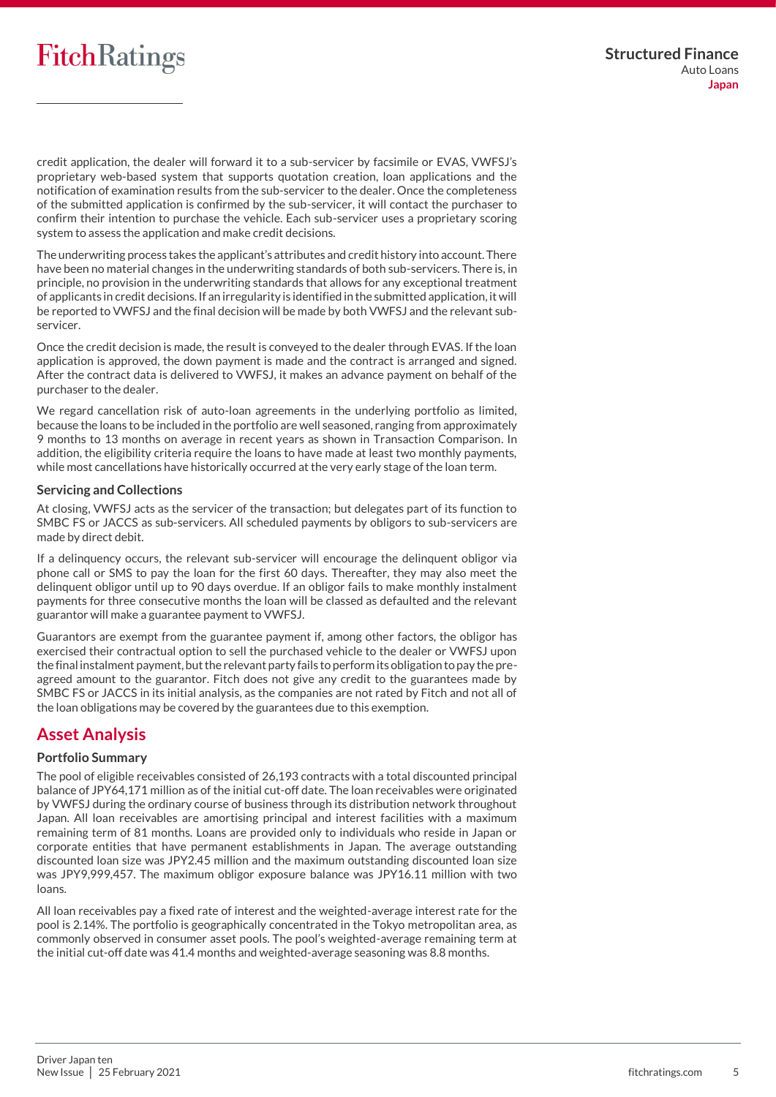credit application, the dealer will forward it to a sub-servicer by facsimile or EVAS, VWFSJ's proprietary web-based system that supports quotation creation, loan applications and the notification of examination results from the sub-servicer to the dealer. Once the completeness of the submitted application is confirmed by the sub-servicer, it will contact the purchaser to confirm their intention to purchase the vehicle. Each sub-servicer uses a proprietary scoring system to assess the application and make credit decisions.

The underwriting process takes the applicant's attributes and credit history into account. There have been no material changes in the underwriting standards of both sub-servicers. There is, in principle, no provision in the underwriting standards that allows for any exceptional treatment of applicants in credit decisions. If an irregularity is identified in the submitted application, it will be reported to VWFSJ and the final decision will be made by both VWFSJ and the relevant subservicer.

Once the credit decision is made, the result is conveyed to the dealer through EVAS. If the loan application is approved, the down payment is made and the contract is arranged and signed. After the contract data is delivered to VWFSJ, it makes an advance payment on behalf of the purchaser to the dealer.

We regard cancellation risk of auto-loan agreements in the underlying portfolio as limited, because the loans to be included in the portfolio are well seasoned, ranging from approximately 9 months to 13 months on average in recent years as shown in Transaction Comparison. In addition, the eligibility criteria require the loans to have made at least two monthly payments, while most cancellations have historically occurred at the very early stage of the loan term.

### **Servicing and Collections**

At closing, VWFSJ acts as the servicer of the transaction; but delegates part of its function to SMBC FS or JACCS as sub-servicers. All scheduled payments by obligors to sub-servicers are made by direct debit.

If a delinquency occurs, the relevant sub-servicer will encourage the delinquent obligor via phone call or SMS to pay the loan for the first 60 days. Thereafter, they may also meet the delinquent obligor until up to 90 days overdue. If an obligor fails to make monthly instalment payments for three consecutive months the loan will be classed as defaulted and the relevant guarantor will make a guarantee payment to VWFSJ.

Guarantors are exempt from the guarantee payment if, among other factors, the obligor has exercised their contractual option to sell the purchased vehicle to the dealer or VWFSJ upon the final instalment payment, but the relevant party fails to perform its obligation to pay the preagreed amount to the guarantor. Fitch does not give any credit to the guarantees made by SMBC FS or JACCS in its initial analysis, as the companies are not rated by Fitch and not all of the loan obligations may be covered by the guarantees due to this exemption.

### <span id="page-4-0"></span>**Asset Analysis**

### **Portfolio Summary**

The pool of eligible receivables consisted of 26,193 contracts with a total discounted principal balance of JPY64,171 million as of the initial cut-off date. The loan receivables were originated by VWFSJ during the ordinary course of business through its distribution network throughout Japan. All loan receivables are amortising principal and interest facilities with a maximum remaining term of 81 months. Loans are provided only to individuals who reside in Japan or corporate entities that have permanent establishments in Japan. The average outstanding discounted loan size was JPY2.45 million and the maximum outstanding discounted loan size was JPY9,999,457. The maximum obligor exposure balance was JPY16.11 million with two loans.

All loan receivables pay a fixed rate of interest and the weighted-average interest rate for the pool is 2.14%. The portfolio is geographically concentrated in the Tokyo metropolitan area, as commonly observed in consumer asset pools. The pool's weighted-average remaining term at the initial cut-off date was 41.4 months and weighted-average seasoning was 8.8 months.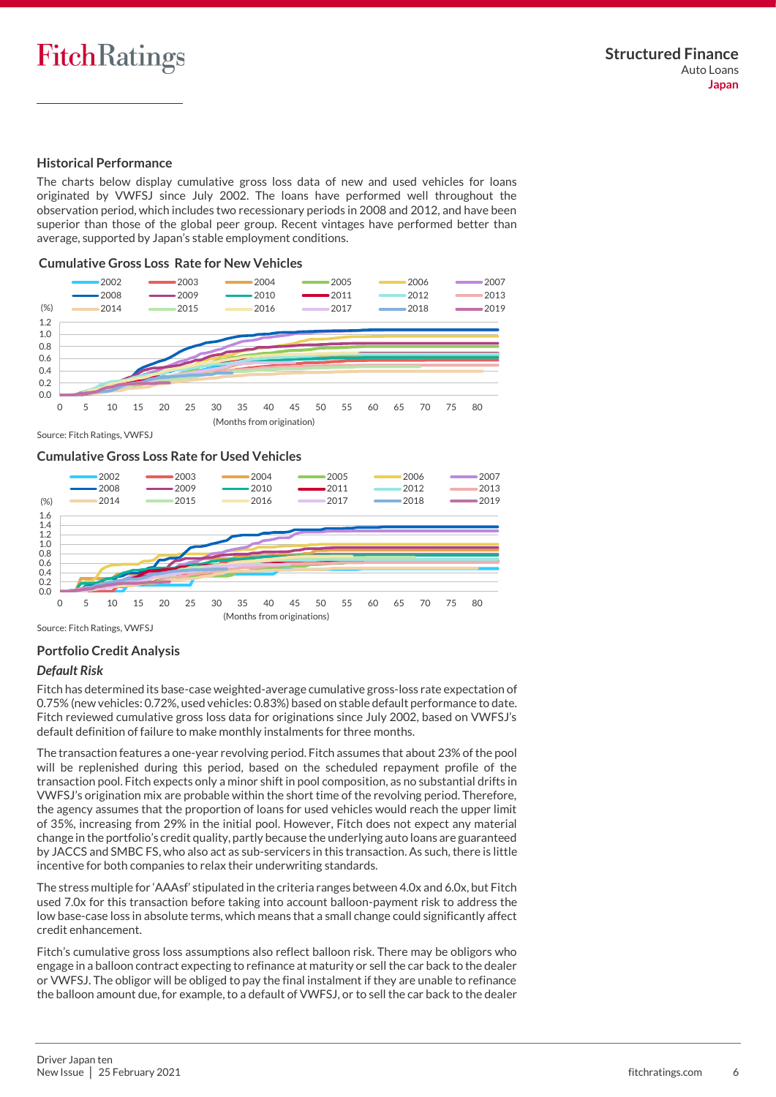### **Historical Performance**

The charts below display cumulative gross loss data of new and used vehicles for loans originated by VWFSJ since July 2002. The loans have performed well throughout the observation period, which includes two recessionary periods in 2008 and 2012, and have been superior than those of the global peer group. Recent vintages have performed better than average, supported by Japan's stable employment conditions.

### **Cumulative Gross Loss Rate for New Vehicles**



Source: Fitch Ratings, VWFSJ

### **Cumulative Gross Loss Rate for Used Vehicles**



Source: Fitch Ratings, VWFSJ

### <span id="page-5-0"></span>**Portfolio Credit Analysis**

### <span id="page-5-1"></span>*Default Risk*

Fitch has determined its base-case weighted-average cumulative gross-loss rate expectation of 0.75% (new vehicles: 0.72%, used vehicles: 0.83%) based on stable default performance to date. Fitch reviewed cumulative gross loss data for originations since July 2002, based on VWFSJ's default definition of failure to make monthly instalments for three months.

The transaction features a one-year revolving period. Fitch assumes that about 23% of the pool will be replenished during this period, based on the scheduled repayment profile of the transaction pool. Fitch expects only a minor shift in pool composition, as no substantial drifts in VWFSJ's origination mix are probable within the short time of the revolving period. Therefore, the agency assumes that the proportion of loans for used vehicles would reach the upper limit of 35%, increasing from 29% in the initial pool. However, Fitch does not expect any material change in the portfolio's credit quality, partly because the underlying auto loans are guaranteed by JACCS and SMBC FS, who also act as sub-servicers in this transaction. As such, there is little incentive for both companies to relax their underwriting standards.

The stress multiple for 'AAAsf' stipulated in the criteria ranges between 4.0x and 6.0x, but Fitch used 7.0x for this transaction before taking into account balloon-payment risk to address the low base-case loss in absolute terms, which means that a small change could significantly affect credit enhancement.

Fitch's cumulative gross loss assumptions also reflect balloon risk. There may be obligors who engage in a balloon contract expecting to refinance at maturity or sell the car back to the dealer or VWFSJ. The obligor will be obliged to pay the final instalment if they are unable to refinance the balloon amount due, for example, to a default of VWFSJ, or to sell the car back to the dealer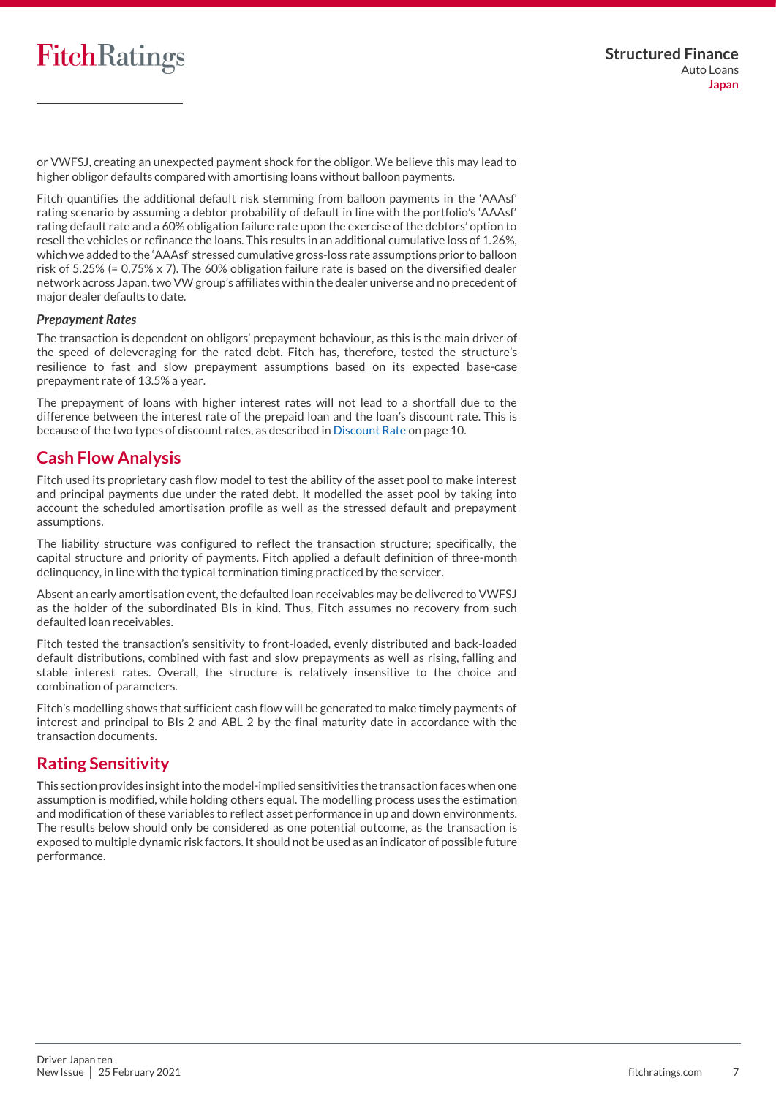

or VWFSJ, creating an unexpected payment shock for the obligor. We believe this may lead to higher obligor defaults compared with amortising loans without balloon payments.

Fitch quantifies the additional default risk stemming from balloon payments in the 'AAAsf' rating scenario by assuming a debtor probability of default in line with the portfolio's 'AAAsf' rating default rate and a 60% obligation failure rate upon the exercise of the debtors' option to resell the vehicles or refinance the loans. This results in an additional cumulative loss of 1.26%, which we added to the 'AAAsf' stressed cumulative gross-loss rate assumptions prior to balloon risk of 5.25% (=  $0.75\%$  x 7). The 60% obligation failure rate is based on the diversified dealer network across Japan, two VW group's affiliates within the dealer universe and no precedent of major dealer defaults to date.

### *Prepayment Rates*

The transaction is dependent on obligors' prepayment behaviour, as this is the main driver of the speed of deleveraging for the rated debt. Fitch has, therefore, tested the structure's resilience to fast and slow prepayment assumptions based on its expected base-case prepayment rate of 13.5% a year.

The prepayment of loans with higher interest rates will not lead to a shortfall due to the difference between the interest rate of the prepaid loan and the loan's discount rate. This is because of the two types of discount rates, as described i[n Discount Rate](#page-9-0) on page 10.

### <span id="page-6-0"></span>**Cash Flow Analysis**

Fitch used its proprietary cash flow model to test the ability of the asset pool to make interest and principal payments due under the rated debt. It modelled the asset pool by taking into account the scheduled amortisation profile as well as the stressed default and prepayment assumptions.

The liability structure was configured to reflect the transaction structure; specifically, the capital structure and priority of payments. Fitch applied a default definition of three-month delinquency, in line with the typical termination timing practiced by the servicer.

Absent an early amortisation event, the defaulted loan receivables may be delivered to VWFSJ as the holder of the subordinated BIs in kind. Thus, Fitch assumes no recovery from such defaulted loan receivables.

Fitch tested the transaction's sensitivity to front-loaded, evenly distributed and back-loaded default distributions, combined with fast and slow prepayments as well as rising, falling and stable interest rates. Overall, the structure is relatively insensitive to the choice and combination of parameters.

Fitch's modelling shows that sufficient cash flow will be generated to make timely payments of interest and principal to BIs 2 and ABL 2 by the final maturity date in accordance with the transaction documents.

### <span id="page-6-1"></span>**Rating Sensitivity**

This section provides insight into the model-implied sensitivities the transaction faces when one assumption is modified, while holding others equal. The modelling process uses the estimation and modification of these variables to reflect asset performance in up and down environments. The results below should only be considered as one potential outcome, as the transaction is exposed to multiple dynamic risk factors. It should not be used as an indicator of possible future performance.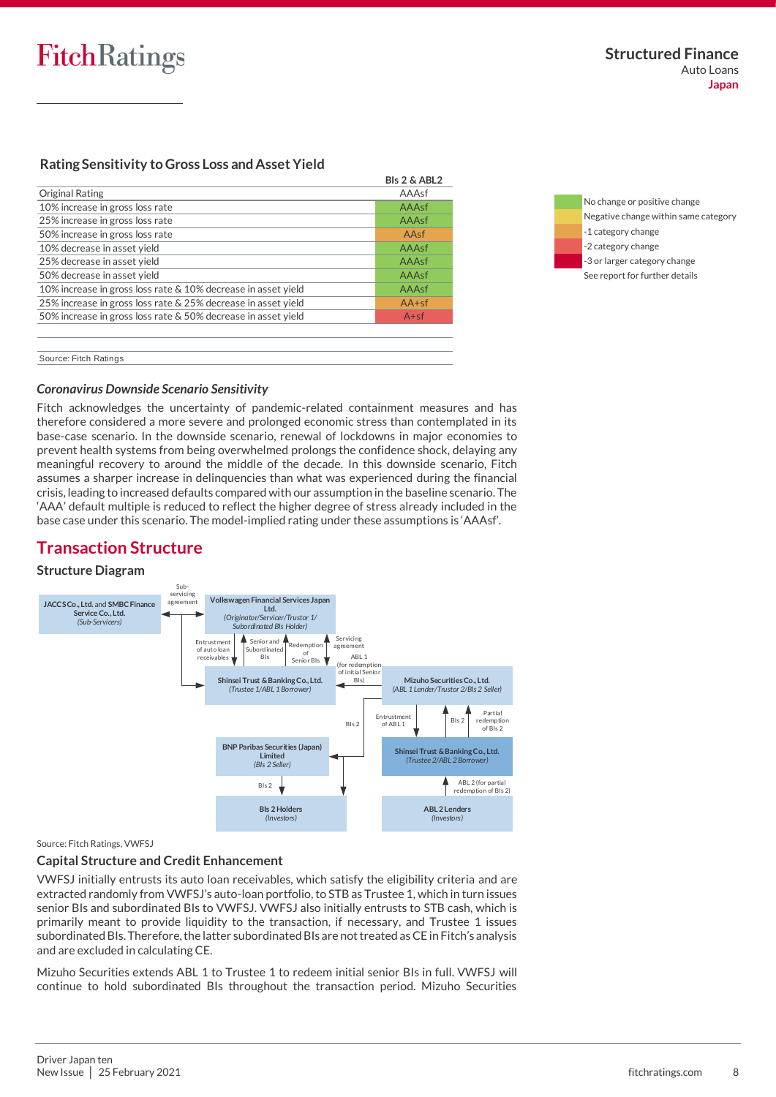### **Rating Sensitivity to Gross Loss and Asset Yield**

|                                                               | <b>DISZ &amp; ADLZ</b> |
|---------------------------------------------------------------|------------------------|
| Original Rating                                               | AAAsf                  |
| 10% increase in gross loss rate                               | AAAsf                  |
| 25% increase in gross loss rate                               | AAAsf                  |
| 50% increase in gross loss rate                               | AAsf                   |
| 10% decrease in asset yield                                   | AAAsf                  |
| 25% decrease in asset yield                                   | AAAsf                  |
| 50% decrease in asset yield                                   | AAAsf                  |
| 10% increase in gross loss rate & 10% decrease in asset yield | AAAsf                  |
| 25% increase in gross loss rate & 25% decrease in asset yield | $AA+sf$                |
| 50% increase in gross loss rate & 50% decrease in asset yield | $A + sf$               |
|                                                               |                        |
|                                                               |                        |

**BIs 2 & ABL2**



## *Coronavirus Downside Scenario Sensitivity*

Fitch acknowledges the uncertainty of pandemic-related containment measures and has therefore considered a more severe and prolonged economic stress than contemplated in its base-case scenario. In the downside scenario, renewal of lockdowns in major economies to prevent health systems from being overwhelmed prolongs the confidence shock, delaying any meaningful recovery to around the middle of the decade. In this downside scenario, Fitch assumes a sharper increase in delinquencies than what was experienced during the financial crisis, leading to increased defaults compared with our assumption in the baseline scenario. The 'AAA' default multiple is reduced to reflect the higher degree of stress already included in the base case under this scenario. The model-implied rating under these assumptions is 'AAAsf'.

## <span id="page-7-0"></span>**Transaction Structure**

### **Structure Diagram**

Source: Fitch Ratings



#### Source: Fitch Ratings, VWFSJ

### **Capital Structure and Credit Enhancement**

VWFSJ initially entrusts its auto loan receivables, which satisfy the eligibility criteria and are extracted randomly from VWFSJ's auto-loan portfolio, to STB as Trustee 1, which in turn issues senior BIs and subordinated BIs to VWFSJ. VWFSJ also initially entrusts to STB cash, which is primarily meant to provide liquidity to the transaction, if necessary, and Trustee 1 issues subordinated BIs. Therefore, the latter subordinated BIs are not treated as CE in Fitch's analysis and are excluded in calculating CE.

Mizuho Securities extends ABL 1 to Trustee 1 to redeem initial senior BIs in full. VWFSJ will continue to hold subordinated BIs throughout the transaction period. Mizuho Securities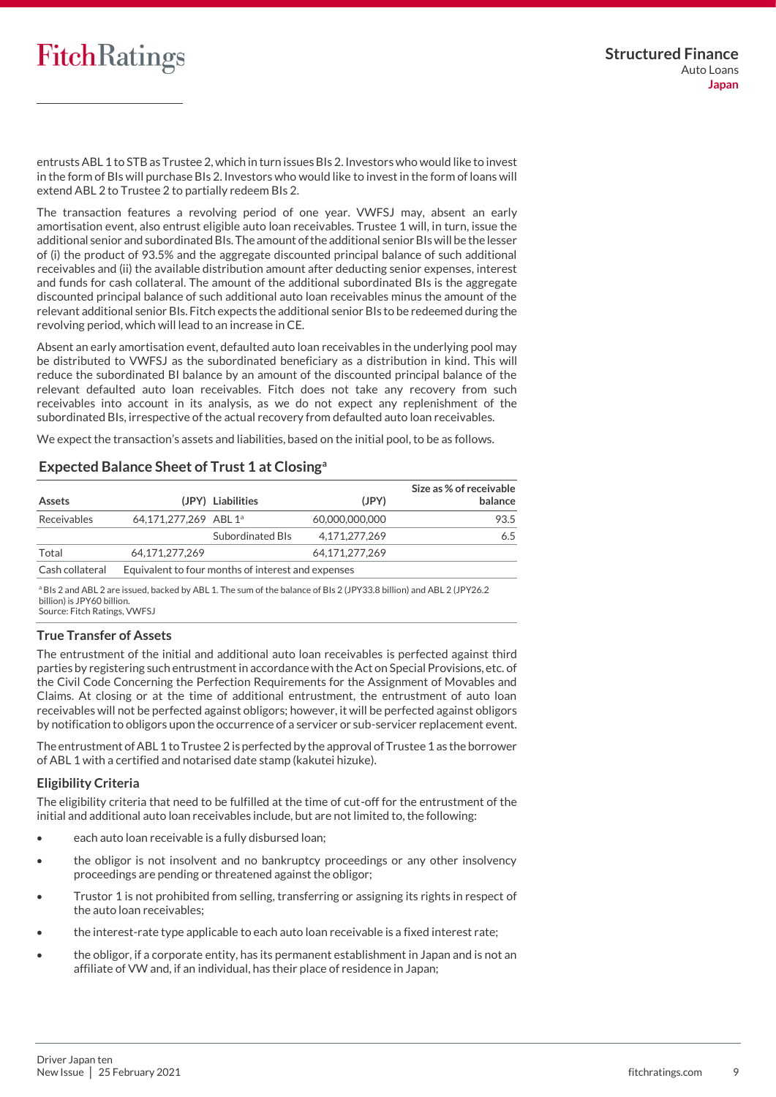entrusts ABL 1 to STB as Trustee 2, which in turn issues BIs 2. Investors who would like to invest in the form of BIs will purchase BIs 2. Investors who would like to invest in the form of loans will extend ABL 2 to Trustee 2 to partially redeem BIs 2.

The transaction features a revolving period of one year. VWFSJ may, absent an early amortisation event, also entrust eligible auto loan receivables. Trustee 1 will, in turn, issue the additional senior and subordinated BIs. The amount of the additional senior BIs will be the lesser of (i) the product of 93.5% and the aggregate discounted principal balance of such additional receivables and (ii) the available distribution amount after deducting senior expenses, interest and funds for cash collateral. The amount of the additional subordinated BIs is the aggregate discounted principal balance of such additional auto loan receivables minus the amount of the relevant additional senior BIs. Fitch expects the additional senior BIs to be redeemed during the revolving period, which will lead to an increase in CE.

Absent an early amortisation event, defaulted auto loan receivables in the underlying pool may be distributed to VWFSJ as the subordinated beneficiary as a distribution in kind. This will reduce the subordinated BI balance by an amount of the discounted principal balance of the relevant defaulted auto loan receivables. Fitch does not take any recovery from such receivables into account in its analysis, as we do not expect any replenishment of the subordinated BIs, irrespective of the actual recovery from defaulted auto loan receivables.

We expect the transaction's assets and liabilities, based on the initial pool, to be as follows.

### **Expected Balance Sheet of Trust 1 at Closing<sup>a</sup>**

| Assets          |                                   | (JPY) Liabilities                                  | (JPY)             | Size as % of receivable<br>balance |
|-----------------|-----------------------------------|----------------------------------------------------|-------------------|------------------------------------|
| Receivables     | 64,171,277,269 ABL 1 <sup>a</sup> |                                                    | 60,000,000,000    | 93.5                               |
|                 |                                   | Subordinated Bls                                   | 4.171.277.269     | 6.5                                |
| Total           | 64, 171, 277, 269                 |                                                    | 64, 171, 277, 269 |                                    |
| Cash collateral |                                   | Equivalent to four months of interest and expenses |                   |                                    |
|                 |                                   |                                                    |                   |                                    |

<sup>a</sup> BIs 2 and ABL 2 are issued, backed by ABL 1. The sum of the balance of BIs 2 (JPY33.8 billion) and ABL 2 (JPY26.2 billion) is JPY60 billion. Source: Fitch Ratings, VWFSJ

### **True Transfer of Assets**

The entrustment of the initial and additional auto loan receivables is perfected against third parties by registering such entrustment in accordance with the Act on Special Provisions, etc. of the Civil Code Concerning the Perfection Requirements for the Assignment of Movables and Claims. At closing or at the time of additional entrustment, the entrustment of auto loan receivables will not be perfected against obligors; however, it will be perfected against obligors by notification to obligors upon the occurrence of a servicer or sub-servicer replacement event.

The entrustment of ABL 1 to Trustee 2 is perfected by the approval of Trustee 1 as the borrower of ABL 1 with a certified and notarised date stamp (kakutei hizuke).

### **Eligibility Criteria**

The eligibility criteria that need to be fulfilled at the time of cut-off for the entrustment of the initial and additional auto loan receivables include, but are not limited to, the following:

- each auto loan receivable is a fully disbursed loan;
- the obligor is not insolvent and no bankruptcy proceedings or any other insolvency proceedings are pending or threatened against the obligor;
- Trustor 1 is not prohibited from selling, transferring or assigning its rights in respect of the auto loan receivables;
- the interest-rate type applicable to each auto loan receivable is a fixed interest rate;
- the obligor, if a corporate entity, has its permanent establishment in Japan and is not an affiliate of VW and, if an individual, has their place of residence in Japan;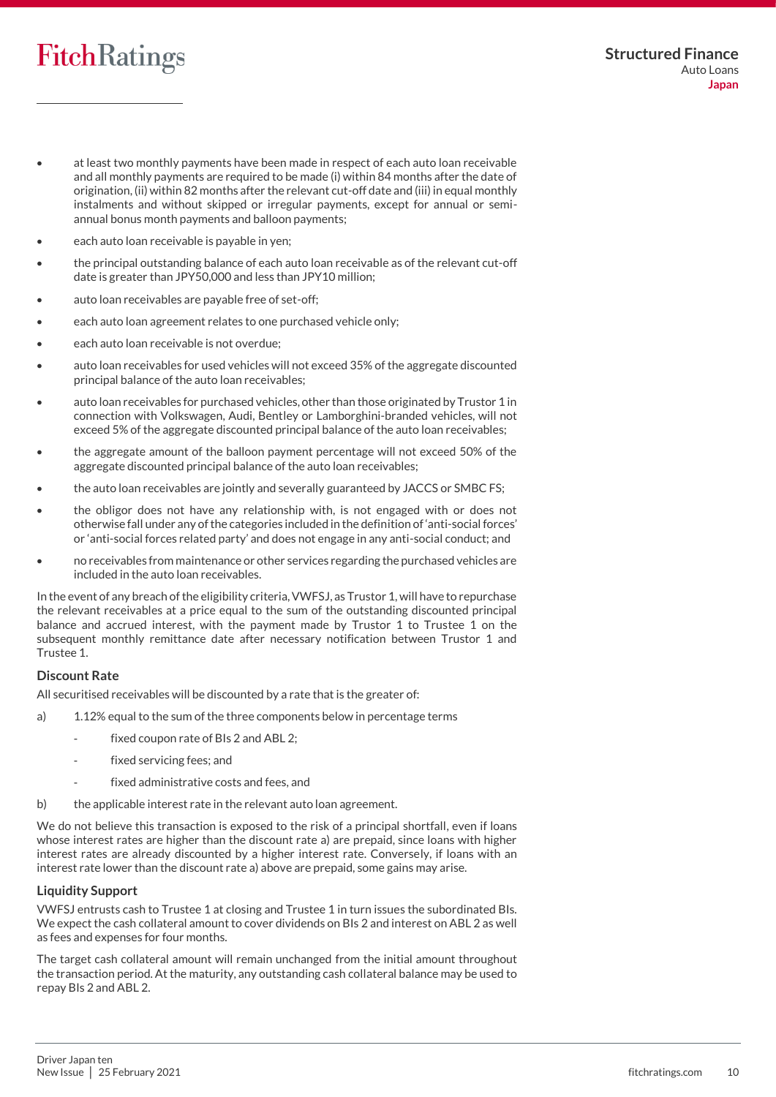- at least two monthly payments have been made in respect of each auto loan receivable and all monthly payments are required to be made (i) within 84 months after the date of origination, (ii) within 82 months after the relevant cut-off date and (iii) in equal monthly instalments and without skipped or irregular payments, except for annual or semiannual bonus month payments and balloon payments;
- each auto loan receivable is payable in yen;
- the principal outstanding balance of each auto loan receivable as of the relevant cut-off date is greater than JPY50,000 and less than JPY10 million;
- auto loan receivables are payable free of set-off;
- each auto loan agreement relates to one purchased vehicle only;
- each auto loan receivable is not overdue;
- auto loan receivables for used vehicles will not exceed 35% of the aggregate discounted principal balance of the auto loan receivables;
- auto loan receivables for purchased vehicles, other than those originated by Trustor 1 in connection with Volkswagen, Audi, Bentley or Lamborghini-branded vehicles, will not exceed 5% of the aggregate discounted principal balance of the auto loan receivables;
- the aggregate amount of the balloon payment percentage will not exceed 50% of the aggregate discounted principal balance of the auto loan receivables;
- the auto loan receivables are jointly and severally guaranteed by JACCS or SMBC FS;
- the obligor does not have any relationship with, is not engaged with or does not otherwise fall under any of the categories included in the definition of 'anti-social forces' or 'anti-social forces related party' and does not engage in any anti-social conduct; and
- no receivables from maintenance or other services regarding the purchased vehicles are included in the auto loan receivables.

In the event of any breach of the eligibility criteria, VWFSJ, as Trustor 1, will have to repurchase the relevant receivables at a price equal to the sum of the outstanding discounted principal balance and accrued interest, with the payment made by Trustor 1 to Trustee 1 on the subsequent monthly remittance date after necessary notification between Trustor 1 and Trustee 1.

### <span id="page-9-0"></span>**Discount Rate**

All securitised receivables will be discounted by a rate that is the greater of:

- a) 1.12% equal to the sum of the three components below in percentage terms
	- fixed coupon rate of BIs 2 and ABL 2;
	- fixed servicing fees; and
	- fixed administrative costs and fees, and
- b) the applicable interest rate in the relevant auto loan agreement.

We do not believe this transaction is exposed to the risk of a principal shortfall, even if loans whose interest rates are higher than the discount rate a) are prepaid, since loans with higher interest rates are already discounted by a higher interest rate. Conversely, if loans with an interest rate lower than the discount rate a) above are prepaid, some gains may arise.

### **Liquidity Support**

VWFSJ entrusts cash to Trustee 1 at closing and Trustee 1 in turn issues the subordinated BIs. We expect the cash collateral amount to cover dividends on BIs 2 and interest on ABL 2 as well as fees and expenses for four months.

The target cash collateral amount will remain unchanged from the initial amount throughout the transaction period. At the maturity, any outstanding cash collateral balance may be used to repay BIs 2 and ABL 2.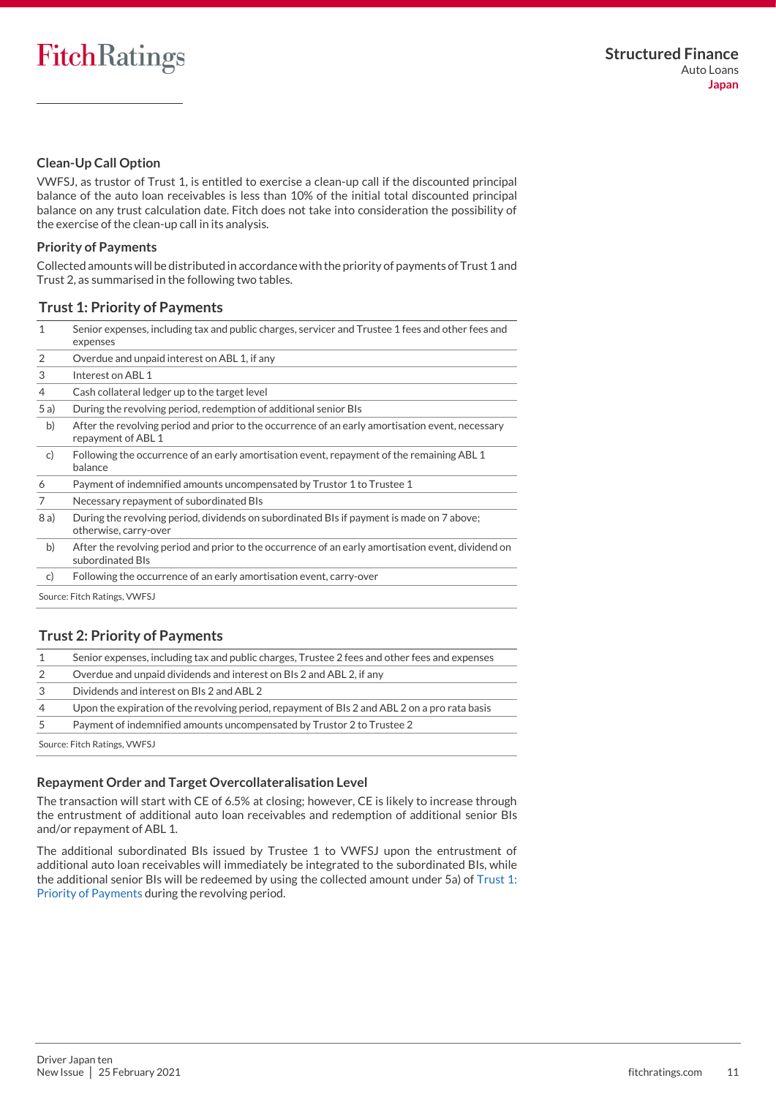### **Clean-Up Call Option**

VWFSJ, as trustor of Trust 1, is entitled to exercise a clean-up call if the discounted principal balance of the auto loan receivables is less than 10% of the initial total discounted principal balance on any trust calculation date. Fitch does not take into consideration the possibility of the exercise of the clean-up call in its analysis.

### **Priority of Payments**

Collected amounts will be distributed in accordance with the priority of payments of Trust 1 and Trust 2, as summarised in the following two tables.

### <span id="page-10-0"></span>**Trust 1: Priority of Payments**

| $\mathbf{1}$ | Senior expenses, including tax and public charges, servicer and Trustee 1 fees and other fees and<br>expenses          |
|--------------|------------------------------------------------------------------------------------------------------------------------|
| 2            | Overdue and unpaid interest on ABL 1, if any                                                                           |
| 3            | Interest on ABL 1                                                                                                      |
| 4            | Cash collateral ledger up to the target level                                                                          |
| 5a)          | During the revolving period, redemption of additional senior BIs                                                       |
| b)           | After the revolving period and prior to the occurrence of an early amortisation event, necessary<br>repayment of ABL 1 |
| c)           | Following the occurrence of an early amortisation event, repayment of the remaining ABL 1<br>balance                   |
| 6            | Payment of indemnified amounts uncompensated by Trustor 1 to Trustee 1                                                 |
| 7            | Necessary repayment of subordinated BIs                                                                                |
| 8 a)         | During the revolving period, dividends on subordinated BIs if payment is made on 7 above;<br>otherwise, carry-over     |
| b)           | After the revolving period and prior to the occurrence of an early amortisation event, dividend on<br>subordinated BIs |
| c)           | Following the occurrence of an early amortisation event, carry-over                                                    |
|              | Source: Fitch Ratings, VWFSJ                                                                                           |

### **Trust 2: Priority of Payments**

| 1                            | Senior expenses, including tax and public charges, Trustee 2 fees and other fees and expenses |  |
|------------------------------|-----------------------------------------------------------------------------------------------|--|
| 2                            | Overdue and unpaid dividends and interest on BIs 2 and ABL 2, if any                          |  |
| 3                            | Dividends and interest on BIs 2 and ABL 2                                                     |  |
| $\overline{4}$               | Upon the expiration of the revolving period, repayment of BIs 2 and ABL 2 on a pro rata basis |  |
| -5                           | Payment of indemnified amounts uncompensated by Trustor 2 to Trustee 2                        |  |
| Source: Fitch Ratings, VWFSJ |                                                                                               |  |

### **Repayment Order and Target Overcollateralisation Level**

The transaction will start with CE of 6.5% at closing; however, CE is likely to increase through the entrustment of additional auto loan receivables and redemption of additional senior BIs and/or repayment of ABL 1.

The additional subordinated BIs issued by Trustee 1 to VWFSJ upon the entrustment of additional auto loan receivables will immediately be integrated to the subordinated BIs, while the additional senior BIs will be redeemed by using the collected amount under 5a) of [Trust 1:](#page-10-0)  [Priority of Payments](#page-10-0) during the revolving period.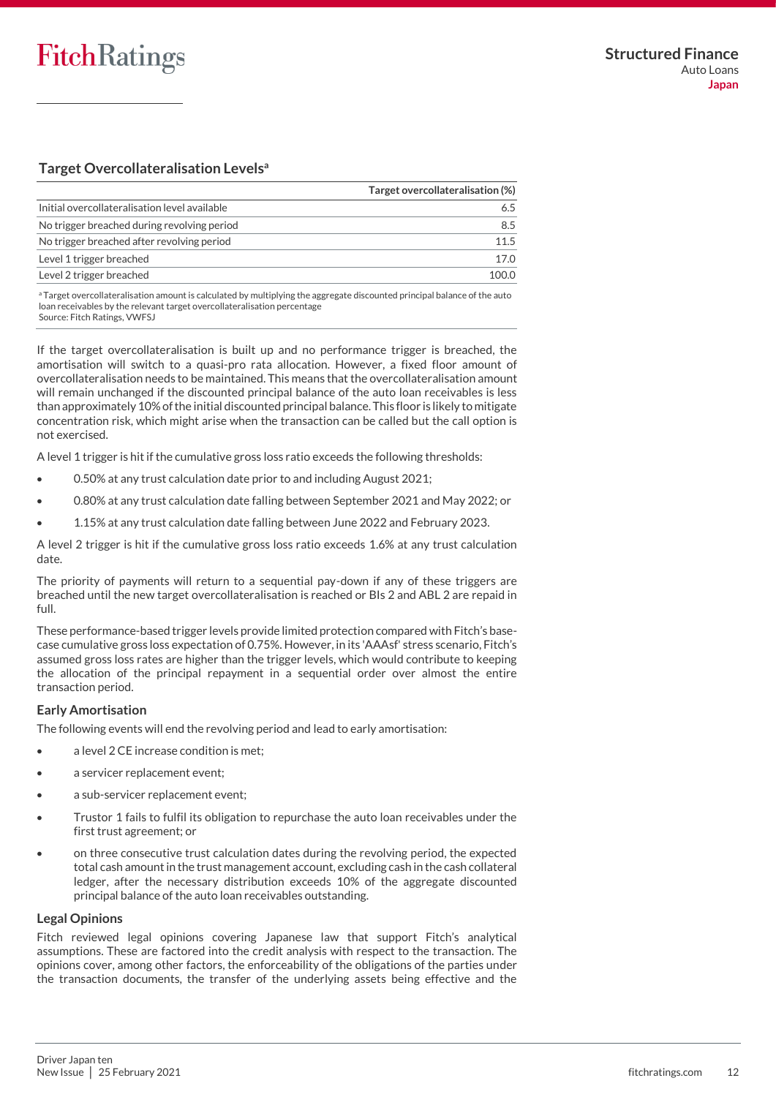### **Target Overcollateralisation Levels<sup>a</sup>**

|                                               | Target overcollateralisation (%) |
|-----------------------------------------------|----------------------------------|
| Initial overcollateralisation level available | 6.5                              |
| No trigger breached during revolving period   | 85                               |
| No trigger breached after revolving period    | 11.5                             |
| Level 1 trigger breached                      | 17.0                             |
| Level 2 trigger breached                      | 100 O                            |
|                                               |                                  |

a Target overcollateralisation amount is calculated by multiplying the aggregate discounted principal balance of the auto loan receivables by the relevant target overcollateralisation percentage Source: Fitch Ratings, VWFSJ

If the target overcollateralisation is built up and no performance trigger is breached, the amortisation will switch to a quasi-pro rata allocation. However, a fixed floor amount of overcollateralisation needs to be maintained. This means that the overcollateralisation amount will remain unchanged if the discounted principal balance of the auto loan receivables is less than approximately 10% of the initial discounted principal balance. This floor is likely to mitigate concentration risk, which might arise when the transaction can be called but the call option is not exercised.

A level 1 trigger is hit if the cumulative gross loss ratio exceeds the following thresholds:

- 0.50% at any trust calculation date prior to and including August 2021;
- 0.80% at any trust calculation date falling between September 2021 and May 2022; or
- 1.15% at any trust calculation date falling between June 2022 and February 2023.

A level 2 trigger is hit if the cumulative gross loss ratio exceeds 1.6% at any trust calculation date.

The priority of payments will return to a sequential pay-down if any of these triggers are breached until the new target overcollateralisation is reached or BIs 2 and ABL 2 are repaid in full.

These performance-based trigger levels provide limited protection compared with Fitch's basecase cumulative gross loss expectation of 0.75%. However, in its 'AAAsf' stress scenario, Fitch's assumed gross loss rates are higher than the trigger levels, which would contribute to keeping the allocation of the principal repayment in a sequential order over almost the entire transaction period.

### **Early Amortisation**

The following events will end the revolving period and lead to early amortisation:

- a level 2 CE increase condition is met;
- a servicer replacement event:
- a sub-servicer replacement event;
- Trustor 1 fails to fulfil its obligation to repurchase the auto loan receivables under the first trust agreement; or
- on three consecutive trust calculation dates during the revolving period, the expected total cash amount in the trust management account, excluding cash in the cash collateral ledger, after the necessary distribution exceeds 10% of the aggregate discounted principal balance of the auto loan receivables outstanding.

### **Legal Opinions**

Fitch reviewed legal opinions covering Japanese law that support Fitch's analytical assumptions. These are factored into the credit analysis with respect to the transaction. The opinions cover, among other factors, the enforceability of the obligations of the parties under the transaction documents, the transfer of the underlying assets being effective and the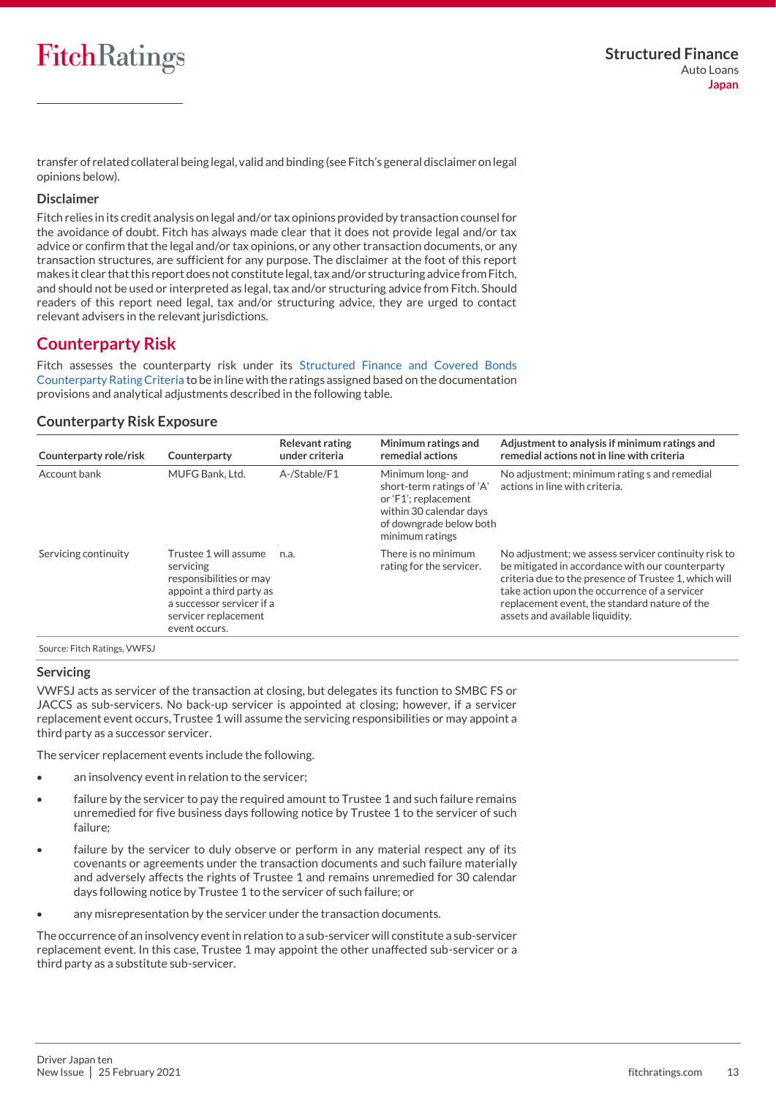transfer of related collateral being legal, valid and binding (see Fitch's general disclaimer on legal opinions below).

### **Disclaimer**

Fitch relies in its credit analysis on legal and/or tax opinions provided by transaction counsel for the avoidance of doubt. Fitch has always made clear that it does not provide legal and/or tax advice or confirm that the legal and/or tax opinions, or any other transaction documents, or any transaction structures, are sufficient for any purpose. The disclaimer at the foot of this report makes it clear that this report does not constitute legal, tax and/or structuring advice from Fitch, and should not be used or interpreted as legal, tax and/or structuring advice from Fitch. Should readers of this report need legal, tax and/or structuring advice, they are urged to contact relevant advisers in the relevant jurisdictions.

### <span id="page-12-0"></span>**Counterparty Risk**

Fitch assesses the counterparty risk under its [Structured Finance and Covered Bonds](https://app.fitchconnect.com/search/research/article/RPT_10108544)  [Counterparty Rating Criteria](https://app.fitchconnect.com/search/research/article/RPT_10108544) to be in line with the ratings assigned based on the documentation provisions and analytical adjustments described in the following table.

### **Counterparty Risk Exposure**

| Counterparty role/risk | Counterparty                                                                                                                                                    | <b>Relevant rating</b><br>under criteria | Minimum ratings and<br>remedial actions                                                                                                         | Adjustment to analysis if minimum ratings and<br>remedial actions not in line with criteria                                                                                                                                                                                                            |
|------------------------|-----------------------------------------------------------------------------------------------------------------------------------------------------------------|------------------------------------------|-------------------------------------------------------------------------------------------------------------------------------------------------|--------------------------------------------------------------------------------------------------------------------------------------------------------------------------------------------------------------------------------------------------------------------------------------------------------|
| Account bank           | MUFG Bank, Ltd.                                                                                                                                                 | A-/Stable/F1                             | Minimum long- and<br>short-term ratings of 'A'<br>or 'F1'; replacement<br>within 30 calendar days<br>of downgrade below both<br>minimum ratings | No adjustment; minimum rating s and remedial<br>actions in line with criteria.                                                                                                                                                                                                                         |
| Servicing continuity   | Trustee 1 will assume<br>servicing<br>responsibilities or may<br>appoint a third party as<br>a successor servicer if a<br>servicer replacement<br>event occurs. | n.a.                                     | There is no minimum<br>rating for the servicer.                                                                                                 | No adjustment; we assess servicer continuity risk to<br>be mitigated in accordance with our counterparty<br>criteria due to the presence of Trustee 1, which will<br>take action upon the occurrence of a servicer<br>replacement event, the standard nature of the<br>assets and available liquidity. |

Source: Fitch Ratings, VWFS.

### <span id="page-12-1"></span>**Servicing**

VWFSJ acts as servicer of the transaction at closing, but delegates its function to SMBC FS or JACCS as sub-servicers. No back-up servicer is appointed at closing; however, if a servicer replacement event occurs, Trustee 1 will assume the servicing responsibilities or may appoint a third party as a successor servicer.

The servicer replacement events include the following.

- an insolvency event in relation to the servicer;
- failure by the servicer to pay the required amount to Trustee 1 and such failure remains unremedied for five business days following notice by Trustee 1 to the servicer of such failure;
- failure by the servicer to duly observe or perform in any material respect any of its covenants or agreements under the transaction documents and such failure materially and adversely affects the rights of Trustee 1 and remains unremedied for 30 calendar days following notice by Trustee 1 to the servicer of such failure; or
- any misrepresentation by the servicer under the transaction documents.

The occurrence of an insolvency event in relation to a sub-servicer will constitute a sub-servicer replacement event. In this case, Trustee 1 may appoint the other unaffected sub-servicer or a third party as a substitute sub-servicer.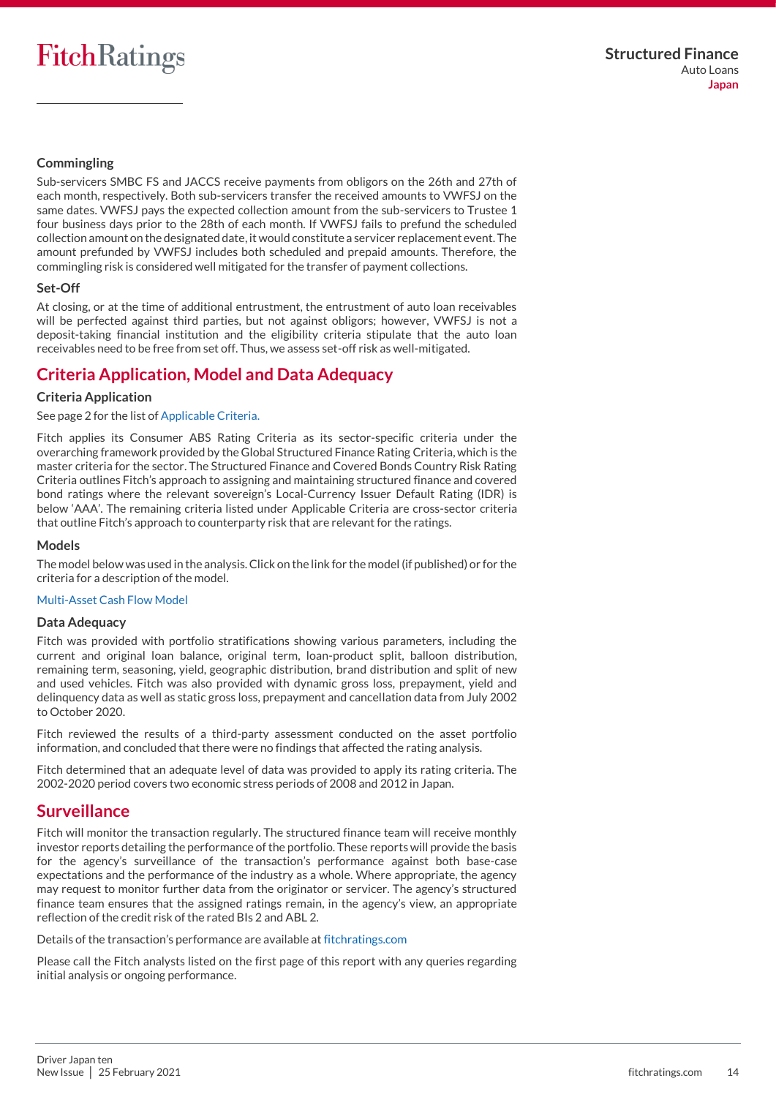### **Commingling**

Sub-servicers SMBC FS and JACCS receive payments from obligors on the 26th and 27th of each month, respectively. Both sub-servicers transfer the received amounts to VWFSJ on the same dates. VWFSJ pays the expected collection amount from the sub-servicers to Trustee 1 four business days prior to the 28th of each month. If VWFSJ fails to prefund the scheduled collection amount on the designated date, it would constitute a servicer replacement event. The amount prefunded by VWFSJ includes both scheduled and prepaid amounts. Therefore, the commingling risk is considered well mitigated for the transfer of payment collections.

### **Set-Off**

At closing, or at the time of additional entrustment, the entrustment of auto loan receivables will be perfected against third parties, but not against obligors; however, VWFSJ is not a deposit-taking financial institution and the eligibility criteria stipulate that the auto loan receivables need to be free from set off. Thus, we assess set-off risk as well-mitigated.

## <span id="page-13-0"></span>**Criteria Application, Model and Data Adequacy**

### **Criteria Application**

See page 2 for the list o[f Applicable Criteria.](#page-1-2)

Fitch applies its Consumer ABS Rating Criteria as its sector-specific criteria under the overarching framework provided by the Global Structured Finance Rating Criteria, which is the master criteria for the sector. The Structured Finance and Covered Bonds Country Risk Rating Criteria outlines Fitch's approach to assigning and maintaining structured finance and covered bond ratings where the relevant sovereign's Local-Currency Issuer Default Rating (IDR) is below 'AAA'. The remaining criteria listed under [Applicable Criteria](#page-1-3) are cross-sector criteria that outline Fitch's approach to counterparty risk that are relevant for the ratings.

### **Models**

The model below was used in the analysis. Click on the link for the model (if published) or for the criteria for a description of the model.

### [Multi-Asset Cash Flow Model](https://www.fitchratings.com/site/structuredfinance/emeacfm)

### **Data Adequacy**

Fitch was provided with portfolio stratifications showing various parameters, including the current and original loan balance, original term, loan-product split, balloon distribution, remaining term, seasoning, yield, geographic distribution, brand distribution and split of new and used vehicles. Fitch was also provided with dynamic gross loss, prepayment, yield and delinquency data as well as static gross loss, prepayment and cancellation data from July 2002 to October 2020.

Fitch reviewed the results of a third-party assessment conducted on the asset portfolio information, and concluded that there were no findings that affected the rating analysis.

Fitch determined that an adequate level of data was provided to apply its rating criteria. The 2002-2020 period covers two economic stress periods of 2008 and 2012 in Japan.

### <span id="page-13-1"></span>**Surveillance**

Fitch will monitor the transaction regularly. The structured finance team will receive monthly investor reports detailing the performance of the portfolio. These reports will provide the basis for the agency's surveillance of the transaction's performance against both base-case expectations and the performance of the industry as a whole. Where appropriate, the agency may request to monitor further data from the originator or servicer. The agency's structured finance team ensures that the assigned ratings remain, in the agency's view, an appropriate reflection of the credit risk of the rated BIs 2 and ABL 2.

Details of the transaction's performance are available at [fitchratings.com](https://www.fitchratings.com/site/home)

Please call the Fitch analysts listed on the first page of this report with any queries regarding initial analysis or ongoing performance.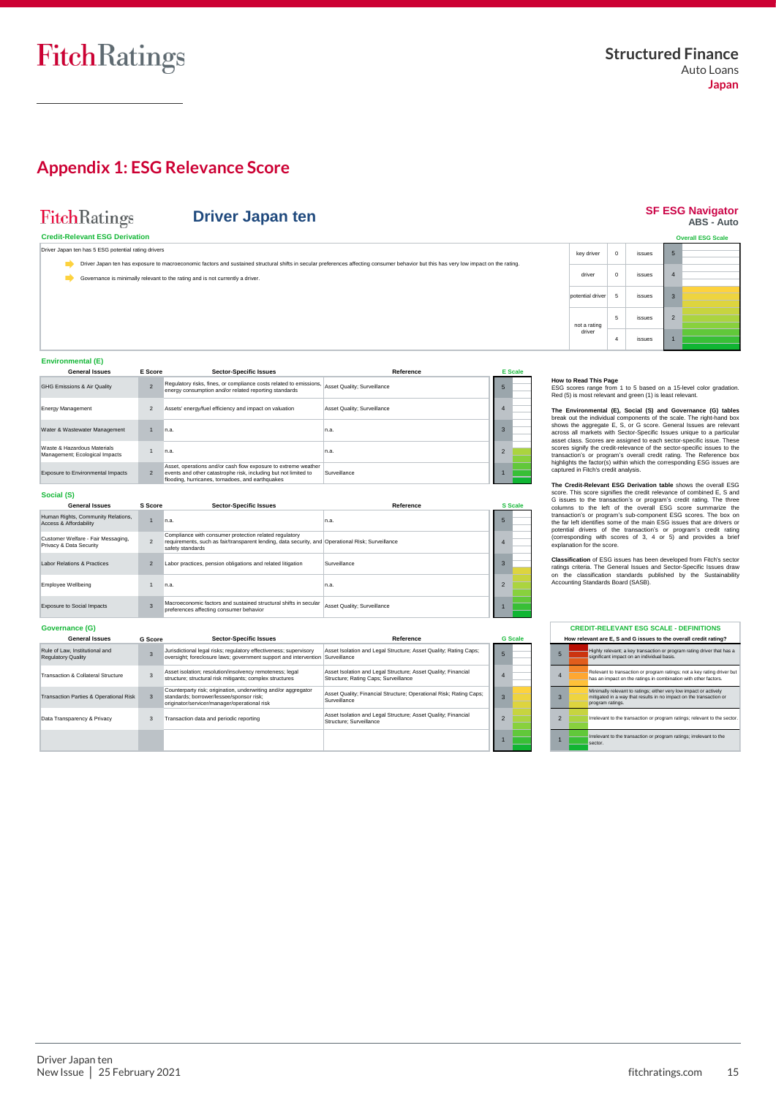## <span id="page-14-0"></span>**Appendix 1: ESG Relevance Score**

## **FitchRatings**

### **Driver Japan ten**

#### **Credit-Relevant ESG Derivation**

## **SF ESG Navigator<br>ABS - Auto**

2

1

**Overall ESG Scale**

| Driver Japan ten has 5 ESG potential rating drivers                                                                                                                                                                                                                    | key driver       | issues |  |  |
|------------------------------------------------------------------------------------------------------------------------------------------------------------------------------------------------------------------------------------------------------------------------|------------------|--------|--|--|
| Driver Japan ten has exposure to macroeconomic factors and sustained structural shifts in secular preferences affecting consumer behavior but this has very low impact on the rating.<br>Governance is minimally relevant to the rating and is not currently a driver. |                  | issues |  |  |
|                                                                                                                                                                                                                                                                        | potential driver | issues |  |  |

#### **Environmental (E)**

| <b>General Issues</b>                                         | E Score                 | <b>Sector-Specific Issues</b>                                                                                                                                                         | Reference                   | <b>E</b> Scale |
|---------------------------------------------------------------|-------------------------|---------------------------------------------------------------------------------------------------------------------------------------------------------------------------------------|-----------------------------|----------------|
| GHG Emissions & Air Quality                                   | $\overline{\mathbf{z}}$ | Regulatory risks, fines, or compliance costs related to emissions,<br>energy consumption and/or related reporting standards                                                           | Asset Quality; Surveillance |                |
| <b>Energy Management</b>                                      | $\overline{2}$          | Assets' energy/fuel efficiency and impact on valuation                                                                                                                                | Asset Quality; Surveillance |                |
| Water & Wastewater Management                                 |                         | n.a.                                                                                                                                                                                  | n.a.                        |                |
| Waste & Hazardous Materials<br>Management; Ecological Impacts |                         | n.a.                                                                                                                                                                                  | n.a.                        |                |
| Exposure to Environmental Impacts                             | $\overline{2}$          | Asset, operations and/or cash flow exposure to extreme weather<br>events and other catastrophe risk, including but not limited to<br>flooding, hurricanes, tornadoes, and earthquakes | Surveillance                |                |

#### **Social (S)**

| <b>General Issues</b>                                         | S Score        | <b>Sector-Specific Issues</b>                                                                                                                                                   | Reference                   | <b>S</b> Scale |
|---------------------------------------------------------------|----------------|---------------------------------------------------------------------------------------------------------------------------------------------------------------------------------|-----------------------------|----------------|
| Human Rights, Community Relations,<br>Access & Affordability  |                | n.a.                                                                                                                                                                            | n.a.                        |                |
| Customer Welfare - Fair Messaging,<br>Privacy & Data Security | $\mathcal{P}$  | Compliance with consumer protection related regulatory<br>requirements, such as fair/transparent lending, data security, and Operational Risk; Surveillance<br>safety standards |                             |                |
| Labor Relations & Practices                                   | $\mathfrak{p}$ | Labor practices, pension obligations and related litigation                                                                                                                     | Surveillance                |                |
| Employee Wellbeing                                            |                | n.a.                                                                                                                                                                            | n.a.                        |                |
| <b>Exposure to Social Impacts</b>                             | $\mathbf{3}$   | Macroeconomic factors and sustained structural shifts in secular<br>preferences affecting consumer behavior                                                                     | Asset Quality; Surveillance |                |

#### **Governance (G)**

| <b>General Issues</b>                                       | G Score      | <b>Sector-Specific Issues</b>                                                                                                                              | Reference                                                                                             |   | <b>G</b> Scale |
|-------------------------------------------------------------|--------------|------------------------------------------------------------------------------------------------------------------------------------------------------------|-------------------------------------------------------------------------------------------------------|---|----------------|
| Rule of Law. Institutional and<br><b>Regulatory Quality</b> | $\mathbf{3}$ | Jurisdictional legal risks; regulatory effectiveness; supervisory<br>oversight; foreclosure laws; government support and intervention Surveillance         | Asset Isolation and Legal Structure; Asset Quality; Rating Caps;                                      | s |                |
| Transaction & Collateral Structure                          | 3            | Asset isolation; resolution/insolvency remoteness; legal<br>structure; structural risk mitigants; complex structures                                       | Asset Isolation and Legal Structure; Asset Quality; Financial<br>Structure; Rating Caps; Surveillance |   |                |
| <b>Transaction Parties &amp; Operational Risk</b>           | 3            | Counterparty risk; origination, underwriting and/or aggregator<br>standards: borrower/lessee/sponsor risk:<br>originator/servicer/manager/operational risk | Asset Quality; Financial Structure; Operational Risk; Rating Caps;<br>Surveillance                    |   |                |
| Data Transparency & Privacy                                 | 3            | Transaction data and periodic reporting                                                                                                                    | Asset Isolation and Legal Structure; Asset Quality; Financial<br>Structure: Surveillance              |   |                |
|                                                             |              |                                                                                                                                                            |                                                                                                       |   |                |

not a rating driver

**How to Read This Page** ESG scores range from 1 to 5 based on a 15-level color gradation. Red (5) is most relevant and green (1) is least relevant.

5 issues  $4$  issues

The Environmental (E), Social (S) and Governance (G) tables<br>break out the individual components of the scale. The right-hand box<br>shows the aggregate E, S, or G score. General Issues are relevant<br>across all markets with Sec

The Credit-Relevant ESG Derivation table shows the overall ESG Derivation score. This score signifies the credit relevance of combined E, S and G issues to the transaction's or program's credit rating. The three columns t

**Classification** of ESG issues has been developed from Fitch's sector<br>ratings criteria. The General Issues and Sector-Specific Issues draw<br>on the classification standards published by the Sustainability<br>Accounting Standard

| <b>CREDIT-RELEVANT ESG SCALE - DEFINITIONS</b> |                                                                  |                                                                                                                                                             |  |  |  |  |  |  |
|------------------------------------------------|------------------------------------------------------------------|-------------------------------------------------------------------------------------------------------------------------------------------------------------|--|--|--|--|--|--|
|                                                | How relevant are E, S and G issues to the overall credit rating? |                                                                                                                                                             |  |  |  |  |  |  |
| 5                                              |                                                                  | Highly relevant: a key transaction or program rating driver that has a<br>significant impact on an individual basis.                                        |  |  |  |  |  |  |
| 4                                              |                                                                  | Relevant to transaction or program ratings: not a key rating driver but<br>has an impact on the ratings in combination with other factors.                  |  |  |  |  |  |  |
| 3                                              |                                                                  | Minimally relevant to ratings: either yery low impact or actively<br>mitigated in a way that results in no impact on the transaction or<br>program ratings. |  |  |  |  |  |  |
| $\mathfrak{p}$                                 |                                                                  | Irrelevant to the transaction or program ratings: relevant to the sector.                                                                                   |  |  |  |  |  |  |
|                                                |                                                                  | Irrelevant to the transaction or program ratings; irrelevant to the<br>sector                                                                               |  |  |  |  |  |  |